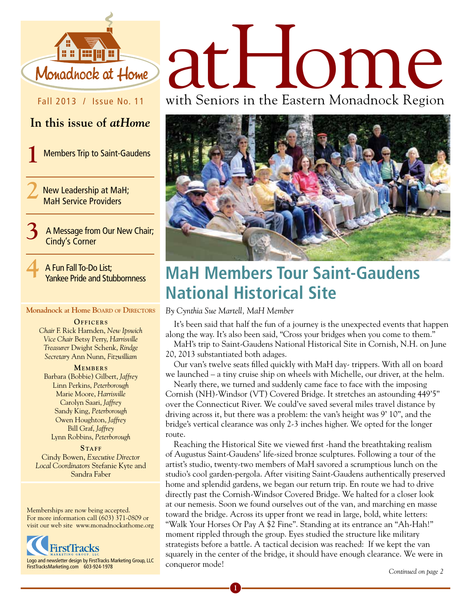

#### Fall 2013 / Issue No. 11

#### **In this issue of** *atHome*

**1** Members Trip to Saint-Gaudens

**2** New Leadership at MaH; MaH Service Providers

> **3** A Message from Our New Chair; Cindy's Corner

**4** A Fun Fall To-Do List; Yankee Pride and Stubbornness

#### **Monadnock at Home Board of Directors**

**OFFICERS** *Chair* F. Rick Harnden, *New Ipswich Vice Chair* Betsy Perry, *Harrisville Treasurer* Dwight Schenk, *Rindge Secretary* Ann Nunn, *Fitzwilliam*

**MEMBERS** Barbara (Bobbie) Gilbert, *Jaffrey* Linn Perkins, *Peterborough* Marie Moore, *Harrisville* Carolyn Saari, *Jaffrey* Sandy King, *Peterborough* Owen Houghton, *Jaffrey* Bill Graf, *Jaffrey* Lynn Robbins, *Peterborough*

STAFF Cindy Bowen, *Executive Director Local Coordinators* Stefanie Kyte and Sandra Faber

Memberships are now being accepted. For more information call (603) 371-0809 or visit our web site www.monadnockathome.org



# atHome

with Seniors in the Eastern Monadnock Region



# **MaH Members Tour Saint-Gaudens National Historical Site**

#### *By Cynthia Sue Martell, MaH Member*

**1**

It's been said that half the fun of a journey is the unexpected events that happen along the way. It's also been said, "Cross your bridges when you come to them."

MaH's trip to Saint-Gaudens National Historical Site in Cornish, N.H. on June 20, 2013 substantiated both adages.

Our van's twelve seats filled quickly with MaH day- trippers. With all on board we launched – a tiny cruise ship on wheels with Michelle, our driver, at the helm.

Nearly there, we turned and suddenly came face to face with the imposing Cornish (NH)-Windsor (VT) Covered Bridge. It stretches an astounding 449'5" over the Connecticut River. We could've saved several miles travel distance by driving across it, but there was a problem: the van's height was 9' 10", and the bridge's vertical clearance was only 2-3 inches higher. We opted for the longer route.

Reaching the Historical Site we viewed first -hand the breathtaking realism of Augustus Saint-Gaudens' life-sized bronze sculptures. Following a tour of the artist's studio, twenty-two members of MaH savored a scrumptious lunch on the studio's cool garden-pergola. After visiting Saint-Gaudens authentically preserved home and splendid gardens, we began our return trip. En route we had to drive directly past the Cornish-Windsor Covered Bridge. We halted for a closer look at our nemesis. Soon we found ourselves out of the van, and marching en masse toward the bridge. Across its upper front we read in large, bold, white letters: "Walk Your Horses Or Pay A \$2 Fine". Standing at its entrance an "Ah-Hah!" moment rippled through the group. Eyes studied the structure like military strategists before a battle. A tactical decision was reached: If we kept the van squarely in the center of the bridge, it should have enough clearance. We were in conqueror mode! *Continued on page 2*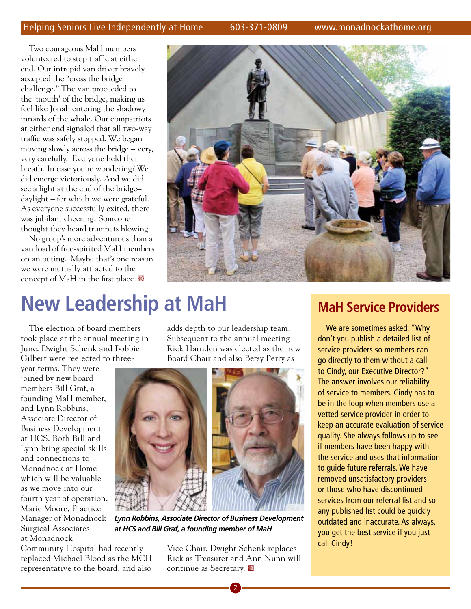Two courageous MaH members volunteered to stop traffic at either end. Our intrepid van driver bravely accepted the "cross the bridge challenge." The van proceeded to the 'mouth' of the bridge, making us feel like Jonah entering the shadowy innards of the whale. Our compatriots at either end signaled that all two-way traffic was safely stopped. We began moving slowly across the bridge – very, very carefully. Everyone held their breath. In case you're wondering? We did emerge victoriously. And we did see a light at the end of the bridge– daylight – for which we were grateful. As everyone successfully exited, there was jubilant cheering! Someone thought they heard trumpets blowing.

No group's more adventurous than a van load of free-spirited MaH members on an outing. Maybe that's one reason we were mutually attracted to the concept of MaH in the first place.  $\blacksquare$ 



# **New Leadership at MaH**

The election of board members took place at the annual meeting in June. Dwight Schenk and Bobbie Gilbert were reelected to three-

year terms. They were joined by new board members Bill Graf, a founding MaH member, and Lynn Robbins, Associate Director of Business Development at HCS. Both Bill and Lynn bring special skills and connections to Monadnock at Home which will be valuable as we move into our fourth year of operation. Marie Moore, Practice Manager of Monadnock Surgical Associates at Monadnock

Community Hospital had recently replaced Michael Blood as the MCH representative to the board, and also

adds depth to our leadership team. Subsequent to the annual meeting Rick Harnden was elected as the new Board Chair and also Betsy Perry as



*Lynn Robbins, Associate Director of Business Development at HCS and Bill Graf, a founding member of MaH*

Vice Chair. Dwight Schenk replaces Rick as Treasurer and Ann Nunn will continue as Secretary.  $\blacksquare$ 

### **MaH Service Providers**

We are sometimes asked, "Why don't you publish a detailed list of service providers so members can go directly to them without a call to Cindy, our Executive Director?" The answer involves our reliability of service to members. Cindy has to be in the loop when members use a vetted service provider in order to keep an accurate evaluation of service quality. She always follows up to see if members have been happy with the service and uses that information to guide future referrals. We have removed unsatisfactory providers or those who have discontinued services from our referral list and so any published list could be quickly outdated and inaccurate. As always, you get the best service if you just call Cindy!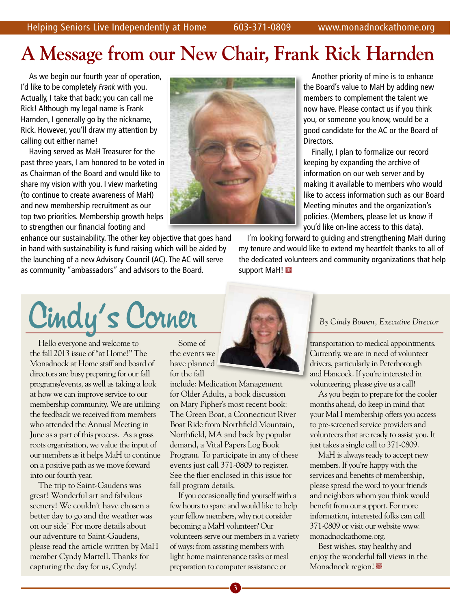# **A Message from our New Chair, Frank Rick Harnden**

As we begin our fourth year of operation, I'd like to be completely *Frank* with you. Actually, I take that back; you can call me Rick! Although my legal name is Frank Harnden, I generally go by the nickname, Rick. However, you'll draw my attention by calling out either name!

Having served as MaH Treasurer for the past three years, I am honored to be voted in as Chairman of the Board and would like to share my vision with you. I view marketing (to continue to create awareness of MaH) and new membership recruitment as our top two priorities. Membership growth helps to strengthen our financial footing and

enhance our sustainability. The other key objective that goes hand in hand with sustainability is fund raising which will be aided by the launching of a new Advisory Council (AC). The AC will serve as community "ambassadors" and advisors to the Board.



Another priority of mine is to enhance the Board's value to MaH by adding new members to complement the talent we now have. Please contact us if you think you, or someone you know, would be a good candidate for the AC or the Board of Directors.

Finally, I plan to formalize our record keeping by expanding the archive of information on our web server and by making it available to members who would like to access information such as our Board Meeting minutes and the organization's policies. (Members, please let us know if you'd like on-line access to this data).

I'm looking forward to guiding and strengthening MaH during my tenure and would like to extend my heartfelt thanks to all of the dedicated volunteers and community organizations that help support MaH!

Cindy's Corner

Hello everyone and welcome to the fall 2013 issue of "at Home!" The Monadnock at Home staff and board of directors are busy preparing for our fall programs/events, as well as taking a look at how we can improve service to our membership community. We are utilizing the feedback we received from members who attended the Annual Meeting in June as a part of this process. As a grass roots organization, we value the input of our members as it helps MaH to continue on a positive path as we move forward into our fourth year.

The trip to Saint-Gaudens was great! Wonderful art and fabulous scenery! We couldn't have chosen a better day to go and the weather was on our side! For more details about our adventure to Saint-Gaudens, please read the article written by MaH member Cyndy Martell. Thanks for capturing the day for us, Cyndy!

Some of the events we have planned for the fall

include: Medication Management for Older Adults, a book discussion on Mary Pipher's most recent book: The Green Boat, a Connecticut River Boat Ride from Northfield Mountain, Northfield, MA and back by popular demand, a Vital Papers Log Book Program. To participate in any of these events just call 371-0809 to register. See the flier enclosed in this issue for fall program details.

If you occasionally find yourself with a few hours to spare and would like to help your fellow members, why not consider becoming a MaH volunteer? Our volunteers serve our members in a variety of ways: from assisting members with light home maintenance tasks or meal preparation to computer assistance or



transportation to medical appointments. Currently, we are in need of volunteer drivers, particularly in Peterborough and Hancock. If you're interested in volunteering, please give us a call!

As you begin to prepare for the cooler months ahead, do keep in mind that your MaH membership offers you access to pre-screened service providers and volunteers that are ready to assist you. It just takes a single call to 371-0809.

MaH is always ready to accept new members. If you're happy with the services and benefits of membership, please spread the word to your friends and neighbors whom you think would benefit from our support. For more information, interested folks can call 371-0809 or visit our website www. monadnockathome.org.

Best wishes, stay healthy and enjoy the wonderful fall views in the Monadnock region!